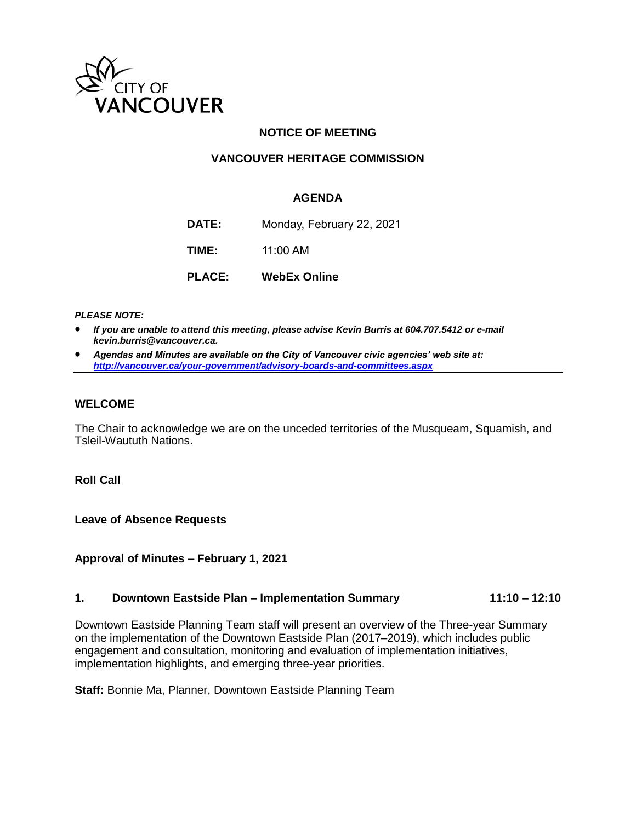

# **NOTICE OF MEETING**

## **VANCOUVER HERITAGE COMMISSION**

### **AGENDA**

**DATE:** Monday, February 22, 2021 **TIME:** 11:00 AM **PLACE: WebEx Online**

*PLEASE NOTE:*

- *If you are unable to attend this meeting, please advise Kevin Burris at 604.707.5412 or e-mail kevin.burris@vancouver.ca.*
- *Agendas and Minutes are available on the City of Vancouver civic agencies' web site at: <http://vancouver.ca/your-government/advisory-boards-and-committees.aspx>*

#### **WELCOME**

The Chair to acknowledge we are on the unceded territories of the Musqueam, Squamish, and Tsleil-Waututh Nations.

**Roll Call**

**Leave of Absence Requests** 

**Approval of Minutes – February 1, 2021**

#### **1. Downtown Eastside Plan – Implementation Summary 11:10 – 12:10**

Downtown Eastside Planning Team staff will present an overview of the Three-year Summary on the implementation of the Downtown Eastside Plan (2017–2019), which includes public engagement and consultation, monitoring and evaluation of implementation initiatives, implementation highlights, and emerging three-year priorities.

**Staff:** Bonnie Ma, Planner, Downtown Eastside Planning Team